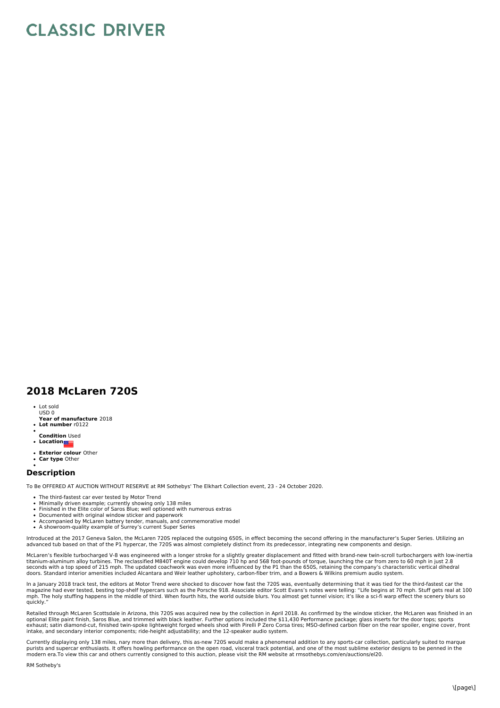## **CLASSIC DRIVER**

## **2018 McLaren 720S**

- Lot sold USD 0
- **Year of manufacture** 2018 **Lot number** r0122
- 
- **Condition** Used **•** Location
- 
- **Exterior colour** Other
- $\ddot{\bullet}$ **Car type** Other

## **Description**

To Be OFFERED AT AUCTION WITHOUT RESERVE at RM Sothebys' The Elkhart Collection event, 23 - 24 October 2020.

- 
- The third-fastest car ever tested by Motor Trend<br>Minimally driven example; currently showing only 138 miles
- Finished in the Elite color of Saros Blue; well optioned with numerous extras
- Documented with original window sticker and paperwork
- Accompanied by McLaren battery tender, manuals, and commemorative model<br>A showroom-quality example of Surrey's current Super Series
- 

Introduced at the 2017 Geneva Salon, the McLaren 720S replaced the outgoing 650S, in effect becoming the second offering in the manufacturer's Super Series. Utilizing an advanced tub based on that of the P1 hypercar, the 720S was almost completely distinct from its predecessor, integrating new components and design.

McLaren's flexible turbocharged V-8 was engineered with a longer stroke for a slightly greater displacement and fitted with brand-new twin-scroll turbochargers with low-inertia<br>titanium-aluminum alloy turbines. The reclass

In a January 2018 track test, the editors at Motor Trend were shocked to discover how fast the 720S was, eventually determining that it was tied for the third-fastest car the<br>magazine had ever tested, besting top-shelf hyp

Retailed through McLaren Scottsdale in Arizona, this 720S was acquired new by the collection in April 2018. As confirmed by the window sticker, the McLaren was finished in an<br>optional Elite paint finish, Saros Blue, and tr intake, and secondary interior components; ride-height adjustability; and the 12-speaker audio system.

Currently displaying only 138 miles, nary more than delivery, this as-new 720S would make a phenomenal addition to any sports-car collection, particularly suited to marque purists and supercar enthusiasts. It offers howling performance on the open road, visceral track potential, and one of the most sublime exterior designs to be penned in the<br>modern era.To view this car and others currently